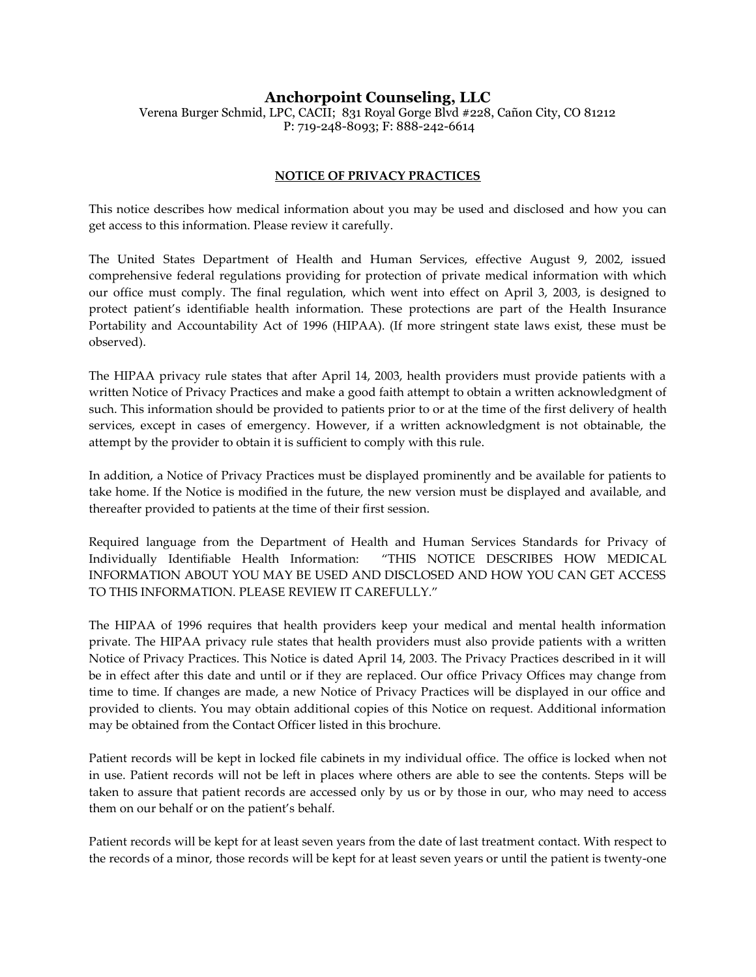# **Anchorpoint Counseling, LLC**

Verena Burger Schmid, LPC, CACII; 831 Royal Gorge Blvd #228, Cañon City, CO 81212 P: 719-248-8093; F: 888-242-6614

# **NOTICE OF PRIVACY PRACTICES**

This notice describes how medical information about you may be used and disclosed and how you can get access to this information. Please review it carefully.

The United States Department of Health and Human Services, effective August 9, 2002, issued comprehensive federal regulations providing for protection of private medical information with which our office must comply. The final regulation, which went into effect on April 3, 2003, is designed to protect patient's identifiable health information. These protections are part of the Health Insurance Portability and Accountability Act of 1996 (HIPAA). (If more stringent state laws exist, these must be observed).

The HIPAA privacy rule states that after April 14, 2003, health providers must provide patients with a written Notice of Privacy Practices and make a good faith attempt to obtain a written acknowledgment of such. This information should be provided to patients prior to or at the time of the first delivery of health services, except in cases of emergency. However, if a written acknowledgment is not obtainable, the attempt by the provider to obtain it is sufficient to comply with this rule.

In addition, a Notice of Privacy Practices must be displayed prominently and be available for patients to take home. If the Notice is modified in the future, the new version must be displayed and available, and thereafter provided to patients at the time of their first session.

Required language from the Department of Health and Human Services Standards for Privacy of Individually Identifiable Health Information: "THIS NOTICE DESCRIBES HOW MEDICAL INFORMATION ABOUT YOU MAY BE USED AND DISCLOSED AND HOW YOU CAN GET ACCESS TO THIS INFORMATION. PLEASE REVIEW IT CAREFULLY."

The HIPAA of 1996 requires that health providers keep your medical and mental health information private. The HIPAA privacy rule states that health providers must also provide patients with a written Notice of Privacy Practices. This Notice is dated April 14, 2003. The Privacy Practices described in it will be in effect after this date and until or if they are replaced. Our office Privacy Offices may change from time to time. If changes are made, a new Notice of Privacy Practices will be displayed in our office and provided to clients. You may obtain additional copies of this Notice on request. Additional information may be obtained from the Contact Officer listed in this brochure.

Patient records will be kept in locked file cabinets in my individual office. The office is locked when not in use. Patient records will not be left in places where others are able to see the contents. Steps will be taken to assure that patient records are accessed only by us or by those in our, who may need to access them on our behalf or on the patient's behalf.

Patient records will be kept for at least seven years from the date of last treatment contact. With respect to the records of a minor, those records will be kept for at least seven years or until the patient is twenty-one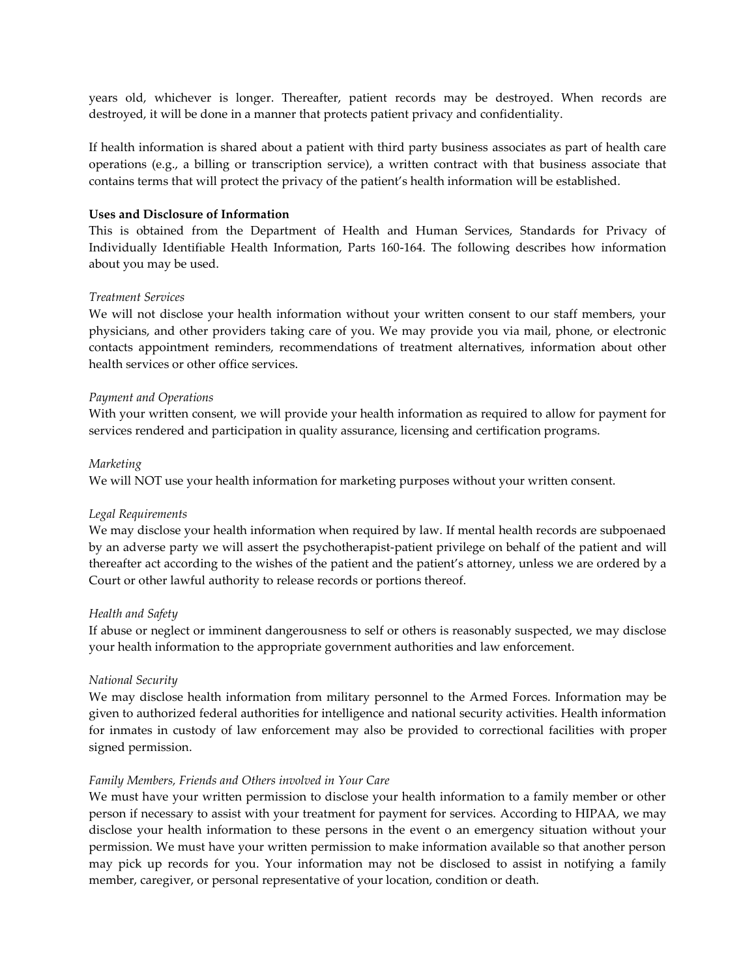years old, whichever is longer. Thereafter, patient records may be destroyed. When records are destroyed, it will be done in a manner that protects patient privacy and confidentiality.

If health information is shared about a patient with third party business associates as part of health care operations (e.g., a billing or transcription service), a written contract with that business associate that contains terms that will protect the privacy of the patient's health information will be established.

#### **Uses and Disclosure of Information**

This is obtained from the Department of Health and Human Services, Standards for Privacy of Individually Identifiable Health Information, Parts 160-164. The following describes how information about you may be used.

#### *Treatment Services*

We will not disclose your health information without your written consent to our staff members, your physicians, and other providers taking care of you. We may provide you via mail, phone, or electronic contacts appointment reminders, recommendations of treatment alternatives, information about other health services or other office services.

#### *Payment and Operations*

With your written consent, we will provide your health information as required to allow for payment for services rendered and participation in quality assurance, licensing and certification programs.

#### *Marketing*

We will NOT use your health information for marketing purposes without your written consent.

#### *Legal Requirements*

We may disclose your health information when required by law. If mental health records are subpoenaed by an adverse party we will assert the psychotherapist-patient privilege on behalf of the patient and will thereafter act according to the wishes of the patient and the patient's attorney, unless we are ordered by a Court or other lawful authority to release records or portions thereof.

## *Health and Safety*

If abuse or neglect or imminent dangerousness to self or others is reasonably suspected, we may disclose your health information to the appropriate government authorities and law enforcement.

## *National Security*

We may disclose health information from military personnel to the Armed Forces. Information may be given to authorized federal authorities for intelligence and national security activities. Health information for inmates in custody of law enforcement may also be provided to correctional facilities with proper signed permission.

#### *Family Members, Friends and Others involved in Your Care*

We must have your written permission to disclose your health information to a family member or other person if necessary to assist with your treatment for payment for services. According to HIPAA, we may disclose your health information to these persons in the event o an emergency situation without your permission. We must have your written permission to make information available so that another person may pick up records for you. Your information may not be disclosed to assist in notifying a family member, caregiver, or personal representative of your location, condition or death.